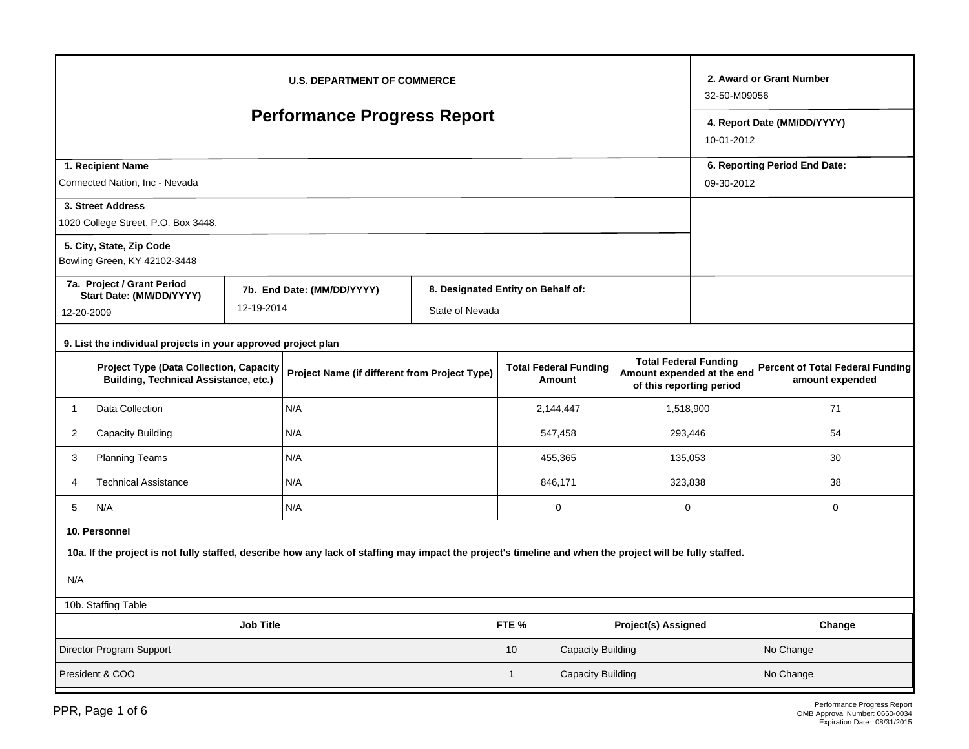| <b>U.S. DEPARTMENT OF COMMERCE</b>                                                                                                                                                |                                                                                                                                                 |  |     |  |                                                                                                                                  |    |                            |                                                     | 32-50-M09056                              | 2. Award or Grant Number |  |
|-----------------------------------------------------------------------------------------------------------------------------------------------------------------------------------|-------------------------------------------------------------------------------------------------------------------------------------------------|--|-----|--|----------------------------------------------------------------------------------------------------------------------------------|----|----------------------------|-----------------------------------------------------|-------------------------------------------|--------------------------|--|
| <b>Performance Progress Report</b>                                                                                                                                                |                                                                                                                                                 |  |     |  |                                                                                                                                  |    |                            |                                                     | 4. Report Date (MM/DD/YYYY)<br>10-01-2012 |                          |  |
| 1. Recipient Name<br>Connected Nation, Inc - Nevada                                                                                                                               |                                                                                                                                                 |  |     |  |                                                                                                                                  |    |                            | 6. Reporting Period End Date:<br>09-30-2012         |                                           |                          |  |
|                                                                                                                                                                                   | 3. Street Address<br>1020 College Street, P.O. Box 3448,                                                                                        |  |     |  |                                                                                                                                  |    |                            |                                                     |                                           |                          |  |
|                                                                                                                                                                                   | 5. City, State, Zip Code<br>Bowling Green, KY 42102-3448                                                                                        |  |     |  |                                                                                                                                  |    |                            |                                                     |                                           |                          |  |
| 7a. Project / Grant Period<br>7b. End Date: (MM/DD/YYYY)<br>Start Date: (MM/DD/YYYY)<br>12-19-2014<br>State of Nevada<br>12-20-2009                                               |                                                                                                                                                 |  |     |  | 8. Designated Entity on Behalf of:                                                                                               |    |                            |                                                     |                                           |                          |  |
|                                                                                                                                                                                   | 9. List the individual projects in your approved project plan                                                                                   |  |     |  |                                                                                                                                  |    |                            |                                                     |                                           |                          |  |
|                                                                                                                                                                                   | <b>Project Type (Data Collection, Capacity</b><br>Project Name (if different from Project Type)<br><b>Building, Technical Assistance, etc.)</b> |  |     |  | <b>Total Federal Funding</b><br><b>Total Federal Funding</b><br>Amount expended at the end<br>Amount<br>of this reporting period |    |                            | Percent of Total Federal Funding<br>amount expended |                                           |                          |  |
| 1                                                                                                                                                                                 | Data Collection                                                                                                                                 |  | N/A |  |                                                                                                                                  |    | 2,144,447                  | 1,518,900                                           |                                           | 71                       |  |
| 2                                                                                                                                                                                 | <b>Capacity Building</b>                                                                                                                        |  | N/A |  |                                                                                                                                  |    | 547,458                    | 293,446                                             |                                           | 54                       |  |
| 3                                                                                                                                                                                 | <b>Planning Teams</b>                                                                                                                           |  | N/A |  |                                                                                                                                  |    | 455,365<br>135,053         |                                                     |                                           | 30                       |  |
| 4                                                                                                                                                                                 | <b>Technical Assistance</b>                                                                                                                     |  | N/A |  |                                                                                                                                  |    | 846.171<br>323.838         |                                                     | 38                                        |                          |  |
| 5                                                                                                                                                                                 | N/A                                                                                                                                             |  | N/A |  |                                                                                                                                  |    | $\mathbf 0$<br>$\mathsf 0$ |                                                     |                                           | 0                        |  |
| 10. Personnel<br>10a. If the project is not fully staffed, describe how any lack of staffing may impact the project's timeline and when the project will be fully staffed.<br>N/A |                                                                                                                                                 |  |     |  |                                                                                                                                  |    |                            |                                                     |                                           |                          |  |
|                                                                                                                                                                                   | 10b. Staffing Table                                                                                                                             |  |     |  |                                                                                                                                  |    |                            |                                                     |                                           |                          |  |
|                                                                                                                                                                                   | <b>Job Title</b><br>FTE %<br><b>Project(s) Assigned</b>                                                                                         |  |     |  |                                                                                                                                  |    |                            |                                                     |                                           | Change                   |  |
|                                                                                                                                                                                   | Director Program Support                                                                                                                        |  |     |  |                                                                                                                                  | 10 | Capacity Building          |                                                     | No Change                                 |                          |  |
| President & COO<br>Capacity Building<br>$\mathbf{1}$                                                                                                                              |                                                                                                                                                 |  |     |  |                                                                                                                                  |    |                            | No Change                                           |                                           |                          |  |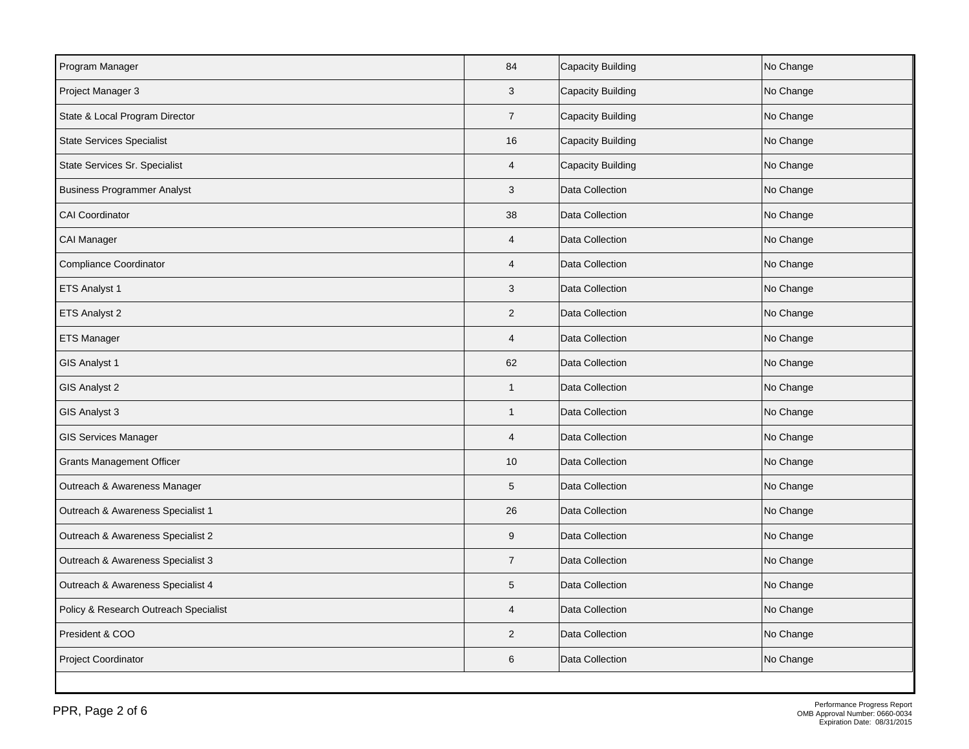| Program Manager                       | 84             | Capacity Building | No Change |
|---------------------------------------|----------------|-------------------|-----------|
| Project Manager 3                     | 3              | Capacity Building | No Change |
| State & Local Program Director        | $\overline{7}$ | Capacity Building | No Change |
| <b>State Services Specialist</b>      | 16             | Capacity Building | No Change |
| State Services Sr. Specialist         | $\overline{4}$ | Capacity Building | No Change |
| <b>Business Programmer Analyst</b>    | 3              | Data Collection   | No Change |
| <b>CAI Coordinator</b>                | 38             | Data Collection   | No Change |
| CAI Manager                           | $\overline{4}$ | Data Collection   | No Change |
| <b>Compliance Coordinator</b>         | 4              | Data Collection   | No Change |
| ETS Analyst 1                         | 3              | Data Collection   | No Change |
| ETS Analyst 2                         | $\overline{2}$ | Data Collection   | No Change |
| <b>ETS Manager</b>                    | $\overline{4}$ | Data Collection   | No Change |
| GIS Analyst 1                         | 62             | Data Collection   | No Change |
| GIS Analyst 2                         | $\mathbf{1}$   | Data Collection   | No Change |
| GIS Analyst 3                         | $\mathbf{1}$   | Data Collection   | No Change |
| <b>GIS Services Manager</b>           | $\overline{4}$ | Data Collection   | No Change |
| <b>Grants Management Officer</b>      | 10             | Data Collection   | No Change |
| Outreach & Awareness Manager          | $\sqrt{5}$     | Data Collection   | No Change |
| Outreach & Awareness Specialist 1     | 26             | Data Collection   | No Change |
| Outreach & Awareness Specialist 2     | $9\,$          | Data Collection   | No Change |
| Outreach & Awareness Specialist 3     | $\overline{7}$ | Data Collection   | No Change |
| Outreach & Awareness Specialist 4     | $5\,$          | Data Collection   | No Change |
| Policy & Research Outreach Specialist | $\overline{4}$ | Data Collection   | No Change |
| President & COO                       | $\overline{2}$ | Data Collection   | No Change |
| Project Coordinator                   | 6              | Data Collection   | No Change |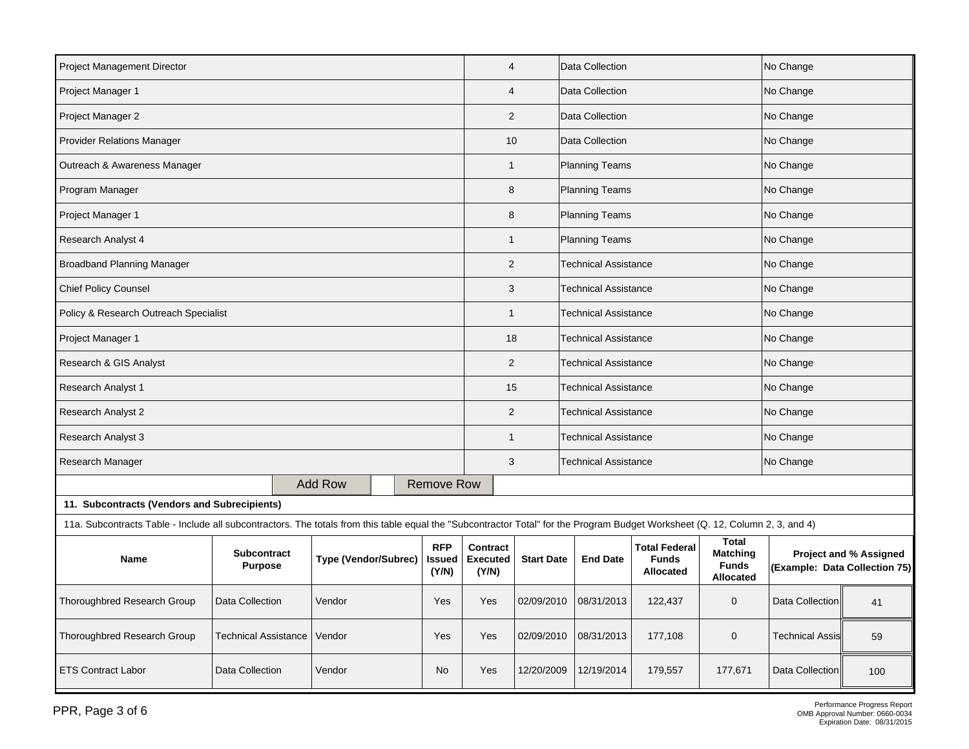| <b>Project Management Director</b>                                                                                                                                            |                 |                      |  |                               | $\overline{4}$                       |                                               | Data Collection             |                                                          |                                                                     | No Change                     |                               |
|-------------------------------------------------------------------------------------------------------------------------------------------------------------------------------|-----------------|----------------------|--|-------------------------------|--------------------------------------|-----------------------------------------------|-----------------------------|----------------------------------------------------------|---------------------------------------------------------------------|-------------------------------|-------------------------------|
| Project Manager 1                                                                                                                                                             |                 |                      |  |                               |                                      | $\overline{4}$                                | Data Collection             |                                                          |                                                                     | No Change                     |                               |
| Project Manager 2                                                                                                                                                             |                 |                      |  |                               |                                      | $\overline{2}$                                | Data Collection             |                                                          |                                                                     | No Change                     |                               |
| <b>Provider Relations Manager</b>                                                                                                                                             |                 |                      |  |                               |                                      | 10                                            | Data Collection             |                                                          |                                                                     | No Change                     |                               |
| Outreach & Awareness Manager                                                                                                                                                  |                 |                      |  |                               |                                      | <b>Planning Teams</b><br>$\mathbf{1}$         |                             |                                                          | No Change                                                           |                               |                               |
| Program Manager                                                                                                                                                               |                 |                      |  |                               | 8                                    |                                               | <b>Planning Teams</b>       |                                                          |                                                                     | No Change                     |                               |
| Project Manager 1                                                                                                                                                             |                 |                      |  |                               | 8                                    |                                               | <b>Planning Teams</b>       |                                                          |                                                                     | No Change                     |                               |
| <b>Research Analyst 4</b>                                                                                                                                                     |                 |                      |  |                               | $\mathbf{1}$                         |                                               | <b>Planning Teams</b>       |                                                          |                                                                     | No Change                     |                               |
| <b>Broadband Planning Manager</b>                                                                                                                                             |                 |                      |  |                               | $\overline{2}$                       |                                               | <b>Technical Assistance</b> |                                                          |                                                                     | No Change                     |                               |
| <b>Chief Policy Counsel</b>                                                                                                                                                   |                 |                      |  |                               | 3                                    |                                               | <b>Technical Assistance</b> |                                                          |                                                                     | No Change                     |                               |
| Policy & Research Outreach Specialist                                                                                                                                         |                 |                      |  |                               | $\mathbf{1}$                         |                                               | <b>Technical Assistance</b> |                                                          |                                                                     | No Change                     |                               |
| Project Manager 1                                                                                                                                                             |                 |                      |  |                               |                                      | <b>Technical Assistance</b><br>18             |                             |                                                          | No Change                                                           |                               |                               |
| Research & GIS Analyst                                                                                                                                                        |                 |                      |  |                               |                                      | $\overline{2}$<br><b>Technical Assistance</b> |                             |                                                          |                                                                     | No Change                     |                               |
| <b>Research Analyst 1</b>                                                                                                                                                     |                 |                      |  |                               | 15                                   |                                               | Technical Assistance        |                                                          |                                                                     | No Change                     |                               |
| Research Analyst 2                                                                                                                                                            |                 |                      |  |                               | $\overline{2}$                       |                                               | <b>Technical Assistance</b> |                                                          |                                                                     | No Change                     |                               |
| <b>Research Analyst 3</b>                                                                                                                                                     |                 |                      |  |                               | $\mathbf{1}$                         |                                               | Technical Assistance        |                                                          |                                                                     | No Change                     |                               |
| Research Manager                                                                                                                                                              |                 |                      |  |                               | 3                                    |                                               | <b>Technical Assistance</b> |                                                          |                                                                     | No Change                     |                               |
|                                                                                                                                                                               |                 | <b>Add Row</b>       |  | <b>Remove Row</b>             |                                      |                                               |                             |                                                          |                                                                     |                               |                               |
| 11. Subcontracts (Vendors and Subrecipients)                                                                                                                                  |                 |                      |  |                               |                                      |                                               |                             |                                                          |                                                                     |                               |                               |
| 11a. Subcontracts Table - Include all subcontractors. The totals from this table equal the "Subcontractor Total" for the Program Budget Worksheet (Q. 12, Column 2, 3, and 4) |                 |                      |  |                               |                                      |                                               |                             |                                                          |                                                                     |                               |                               |
| <b>Subcontract</b><br><b>Name</b><br><b>Purpose</b>                                                                                                                           |                 | Type (Vendor/Subrec) |  | <b>RFP</b><br>Issued<br>(Y/N) | Contract<br><b>Executed</b><br>(Y/N) | <b>Start Date</b>                             | <b>End Date</b>             | <b>Total Federal</b><br><b>Funds</b><br><b>Allocated</b> | <b>Total</b><br><b>Matching</b><br><b>Funds</b><br><b>Allocated</b> | (Example: Data Collection 75) | <b>Project and % Assigned</b> |
| <b>Thoroughbred Research Group</b>                                                                                                                                            | Data Collection | Vendor               |  | Yes                           | Yes                                  | 02/09/2010                                    | 08/31/2013                  | 122,437                                                  | 0                                                                   | Data Collection               | 41                            |
| Thoroughbred Research Group<br><b>Technical Assistance</b>                                                                                                                    |                 | Vendor               |  | Yes                           | Yes                                  | 02/09/2010                                    | 08/31/2013                  | 177,108                                                  | 0                                                                   | <b>Technical Assis</b>        | 59                            |
| <b>ETS Contract Labor</b>                                                                                                                                                     | Data Collection | Vendor               |  | No                            | Yes                                  | 12/20/2009                                    | 12/19/2014                  | 179,557                                                  | 177,671                                                             | Data Collection               | 100                           |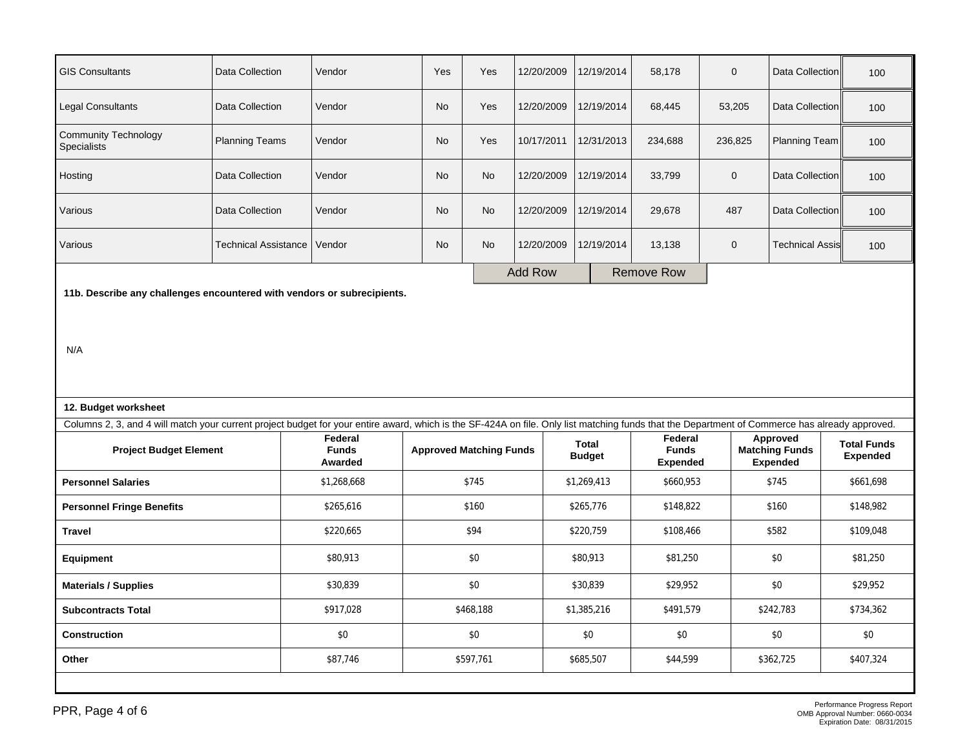| <b>GIS Consultants</b>                                                                                                                                                                         | Data Collection             | Vendor                             | Yes       | Yes                            | 12/20/2009     | 12/19/2014                    | 58,178                                     | $\mathbf 0$ | Data Collection                                      | 100                                   |  |
|------------------------------------------------------------------------------------------------------------------------------------------------------------------------------------------------|-----------------------------|------------------------------------|-----------|--------------------------------|----------------|-------------------------------|--------------------------------------------|-------------|------------------------------------------------------|---------------------------------------|--|
| <b>Legal Consultants</b>                                                                                                                                                                       | Data Collection             | Vendor                             | No        | Yes                            | 12/20/2009     | 12/19/2014                    | 68,445                                     | 53,205      | Data Collection                                      | 100                                   |  |
| <b>Community Technology</b><br>Specialists                                                                                                                                                     | <b>Planning Teams</b>       | Vendor                             | No        | Yes                            | 10/17/2011     | 12/31/2013                    | 234,688                                    | 236,825     | Planning Team                                        | 100                                   |  |
| Data Collection<br>Hosting                                                                                                                                                                     |                             | Vendor                             | No        | <b>No</b>                      | 12/20/2009     | 12/19/2014                    | 33,799                                     | $\mathbf 0$ | Data Collection                                      | 100                                   |  |
| Data Collection<br>Various                                                                                                                                                                     |                             | Vendor                             | <b>No</b> | No                             | 12/20/2009     | 12/19/2014                    | 29,678                                     | 487         | Data Collection                                      | 100                                   |  |
| Various                                                                                                                                                                                        | <b>Technical Assistance</b> | Vendor                             | No        | No                             | 12/20/2009     | 12/19/2014                    | 13,138                                     | $\pmb{0}$   | <b>Technical Assis</b>                               | 100                                   |  |
|                                                                                                                                                                                                |                             |                                    |           |                                | <b>Add Row</b> |                               | <b>Remove Row</b>                          |             |                                                      |                                       |  |
| 11b. Describe any challenges encountered with vendors or subrecipients.                                                                                                                        |                             |                                    |           |                                |                |                               |                                            |             |                                                      |                                       |  |
|                                                                                                                                                                                                |                             |                                    |           |                                |                |                               |                                            |             |                                                      |                                       |  |
|                                                                                                                                                                                                |                             |                                    |           |                                |                |                               |                                            |             |                                                      |                                       |  |
| N/A                                                                                                                                                                                            |                             |                                    |           |                                |                |                               |                                            |             |                                                      |                                       |  |
|                                                                                                                                                                                                |                             |                                    |           |                                |                |                               |                                            |             |                                                      |                                       |  |
|                                                                                                                                                                                                |                             |                                    |           |                                |                |                               |                                            |             |                                                      |                                       |  |
|                                                                                                                                                                                                |                             |                                    |           |                                |                |                               |                                            |             |                                                      |                                       |  |
| 12. Budget worksheet                                                                                                                                                                           |                             |                                    |           |                                |                |                               |                                            |             |                                                      |                                       |  |
| Columns 2, 3, and 4 will match your current project budget for your entire award, which is the SF-424A on file. Only list matching funds that the Department of Commerce has already approved. |                             |                                    |           |                                |                |                               |                                            |             |                                                      |                                       |  |
| <b>Project Budget Element</b>                                                                                                                                                                  |                             | Federal<br><b>Funds</b><br>Awarded |           | <b>Approved Matching Funds</b> |                | <b>Total</b><br><b>Budget</b> | Federal<br><b>Funds</b><br><b>Expended</b> |             | Approved<br><b>Matching Funds</b><br><b>Expended</b> | <b>Total Funds</b><br><b>Expended</b> |  |
| <b>Personnel Salaries</b>                                                                                                                                                                      |                             | \$1,268,668                        |           | \$745                          |                | \$1,269,413                   | \$660,953                                  |             | \$745                                                | \$661,698                             |  |
| <b>Personnel Fringe Benefits</b>                                                                                                                                                               |                             | \$265,616                          |           | \$160                          |                | \$265,776                     | \$148,822                                  |             | \$160                                                | \$148,982                             |  |
| <b>Travel</b>                                                                                                                                                                                  |                             | \$220,665                          |           | \$94                           |                | \$220,759                     | \$108,466                                  |             | \$582                                                | \$109,048                             |  |
| <b>Equipment</b>                                                                                                                                                                               |                             | \$80,913                           |           | \$0                            |                | \$80,913                      | \$81,250                                   |             | \$0                                                  | \$81,250                              |  |
| <b>Materials / Supplies</b>                                                                                                                                                                    |                             | \$30,839                           |           | \$0                            |                | \$30,839                      | \$29,952                                   |             | \$0                                                  | \$29,952                              |  |
| <b>Subcontracts Total</b>                                                                                                                                                                      |                             | \$917,028                          |           | \$468,188                      |                | \$1,385,216                   | \$491,579                                  |             | \$242,783                                            | \$734,362                             |  |
| <b>Construction</b>                                                                                                                                                                            |                             | \$0                                |           | \$0                            |                | \$0                           | \$0                                        |             | \$0                                                  | \$0                                   |  |
| Other                                                                                                                                                                                          |                             | \$87,746                           |           | \$597,761                      |                | \$685,507                     | \$44,599                                   |             | \$362,725                                            | \$407,324                             |  |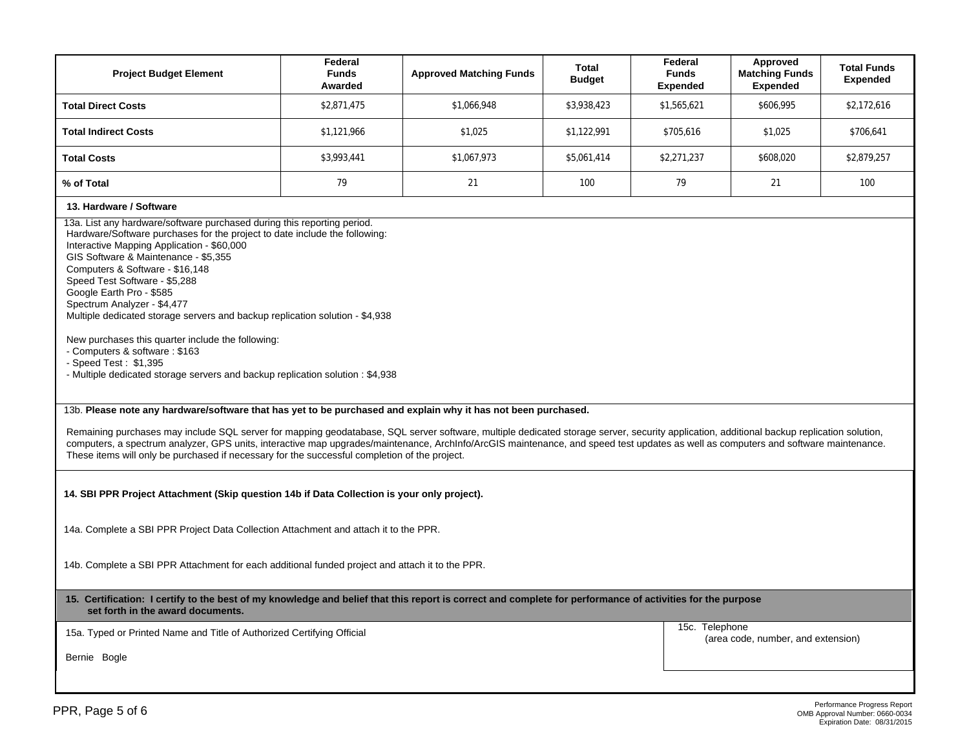| <b>Project Budget Element</b>                                                                                                                                                                                                                                                                                                                                                                                                                                                         | Federal<br><b>Funds</b><br>Awarded | <b>Approved Matching Funds</b> | Total<br><b>Budget</b>   | Federal<br><b>Funds</b><br><b>Expended</b> | Approved<br><b>Matching Funds</b><br>Expended | <b>Total Funds</b><br><b>Expended</b> |  |  |
|---------------------------------------------------------------------------------------------------------------------------------------------------------------------------------------------------------------------------------------------------------------------------------------------------------------------------------------------------------------------------------------------------------------------------------------------------------------------------------------|------------------------------------|--------------------------------|--------------------------|--------------------------------------------|-----------------------------------------------|---------------------------------------|--|--|
| <b>Total Direct Costs</b>                                                                                                                                                                                                                                                                                                                                                                                                                                                             | \$2,871,475                        | \$1,066,948                    | \$3,938,423              | \$1,565,621                                | \$606,995                                     | \$2,172,616                           |  |  |
| <b>Total Indirect Costs</b>                                                                                                                                                                                                                                                                                                                                                                                                                                                           | \$1,121,966                        | \$1,025                        | \$705,616<br>\$1,122,991 |                                            | \$1,025                                       | \$706,641                             |  |  |
| <b>Total Costs</b>                                                                                                                                                                                                                                                                                                                                                                                                                                                                    | \$3,993,441                        | \$1,067,973                    | \$5,061,414              | \$2,271,237                                | \$608,020                                     | \$2,879,257                           |  |  |
| % of Total                                                                                                                                                                                                                                                                                                                                                                                                                                                                            | 79                                 | 21                             | 100                      | 79                                         | 21                                            | 100                                   |  |  |
| 13. Hardware / Software<br>13a. List any hardware/software purchased during this reporting period.<br>Hardware/Software purchases for the project to date include the following:<br>Interactive Mapping Application - \$60,000<br>GIS Software & Maintenance - \$5,355<br>Computers & Software - \$16,148<br>Speed Test Software - \$5,288<br>Google Earth Pro - \$585<br>Spectrum Analyzer - \$4,477<br>Multiple dedicated storage servers and backup replication solution - \$4,938 |                                    |                                |                          |                                            |                                               |                                       |  |  |
| New purchases this quarter include the following:                                                                                                                                                                                                                                                                                                                                                                                                                                     |                                    |                                |                          |                                            |                                               |                                       |  |  |

- Computers & software : \$163

- Speed Test : \$1,395

- Multiple dedicated storage servers and backup replication solution : \$4,938

## 13b. **Please note any hardware/software that has yet to be purchased and explain why it has not been purchased.**

Remaining purchases may include SQL server for mapping geodatabase, SQL server software, multiple dedicated storage server, security application, additional backup replication solution, computers, a spectrum analyzer, GPS units, interactive map upgrades/maintenance, ArchInfo/ArcGIS maintenance, and speed test updates as well as computers and software maintenance. These items will only be purchased if necessary for the successful completion of the project.

**14. SBI PPR Project Attachment (Skip question 14b if Data Collection is your only project).** 

14a. Complete a SBI PPR Project Data Collection Attachment and attach it to the PPR.

14b. Complete a SBI PPR Attachment for each additional funded project and attach it to the PPR.

**15. Certification: I certify to the best of my knowledge and belief that this report is correct and complete for performance of activities for the purpose set forth in the award documents.** 

15a. Typed or Printed Name and Title of Authorized Certifying Official

15c. Telephone (area code, number, and extension)

Bernie Bogle